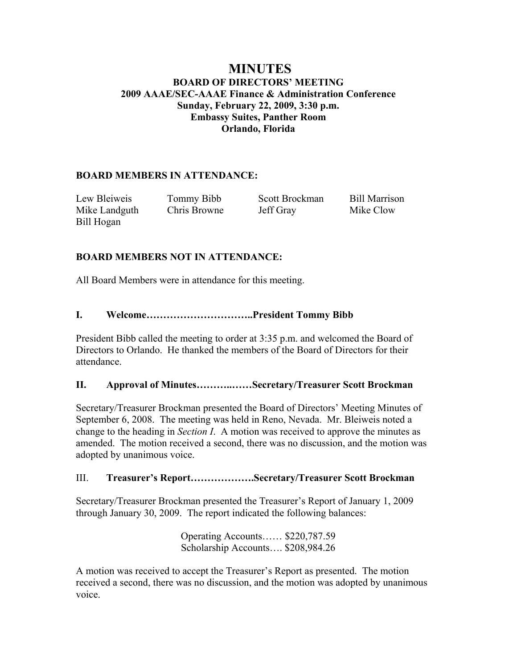# **MINUTES BOARD OF DIRECTORS' MEETING 2009 AAAE/SEC-AAAE Finance & Administration Conference Sunday, February 22, 2009, 3:30 p.m. Embassy Suites, Panther Room Orlando, Florida**

## **BOARD MEMBERS IN ATTENDANCE:**

| Lew Bleiweis  | Tommy Bibb   | Scott Brockman | <b>Bill Marrison</b> |
|---------------|--------------|----------------|----------------------|
| Mike Landguth | Chris Browne | Jeff Gray      | Mike Clow            |
| Bill Hogan    |              |                |                      |

### **BOARD MEMBERS NOT IN ATTENDANCE:**

All Board Members were in attendance for this meeting.

#### **I. Welcome…………………………..President Tommy Bibb**

President Bibb called the meeting to order at 3:35 p.m. and welcomed the Board of Directors to Orlando. He thanked the members of the Board of Directors for their attendance.

### **II. Approval of Minutes………..……Secretary/Treasurer Scott Brockman**

Secretary/Treasurer Brockman presented the Board of Directors' Meeting Minutes of September 6, 2008. The meeting was held in Reno, Nevada. Mr. Bleiweis noted a change to the heading in *Section I*. A motion was received to approve the minutes as amended. The motion received a second, there was no discussion, and the motion was adopted by unanimous voice.

### III. **Treasurer's Report……………….Secretary/Treasurer Scott Brockman**

Secretary/Treasurer Brockman presented the Treasurer's Report of January 1, 2009 through January 30, 2009. The report indicated the following balances:

> Operating Accounts…… \$220,787.59 Scholarship Accounts…. \$208,984.26

A motion was received to accept the Treasurer's Report as presented. The motion received a second, there was no discussion, and the motion was adopted by unanimous voice.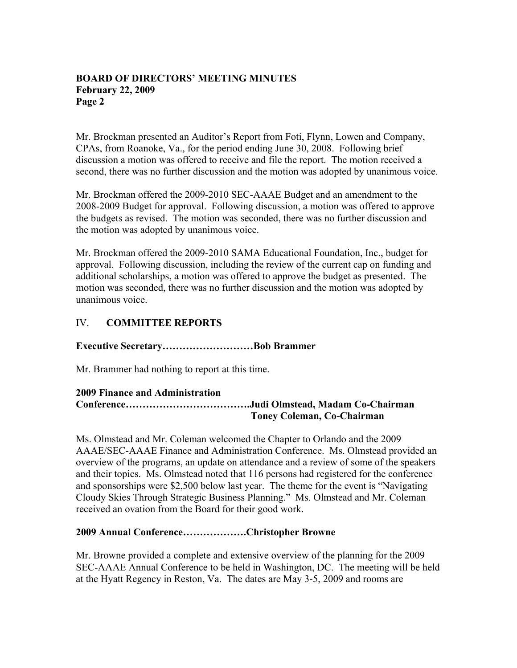### **BOARD OF DIRECTORS' MEETING MINUTES February 22, 2009 Page 2**

Mr. Brockman presented an Auditor's Report from Foti, Flynn, Lowen and Company, CPAs, from Roanoke, Va., for the period ending June 30, 2008. Following brief discussion a motion was offered to receive and file the report. The motion received a second, there was no further discussion and the motion was adopted by unanimous voice.

Mr. Brockman offered the 2009-2010 SEC-AAAE Budget and an amendment to the 2008-2009 Budget for approval. Following discussion, a motion was offered to approve the budgets as revised. The motion was seconded, there was no further discussion and the motion was adopted by unanimous voice.

Mr. Brockman offered the 2009-2010 SAMA Educational Foundation, Inc., budget for approval. Following discussion, including the review of the current cap on funding and additional scholarships, a motion was offered to approve the budget as presented. The motion was seconded, there was no further discussion and the motion was adopted by unanimous voice.

# IV. **COMMITTEE REPORTS**

## **Executive Secretary………………………Bob Brammer**

Mr. Brammer had nothing to report at this time.

#### **2009 Finance and Administration Conference……………………………….Judi Olmstead, Madam Co-Chairman Toney Coleman, Co-Chairman**

Ms. Olmstead and Mr. Coleman welcomed the Chapter to Orlando and the 2009 AAAE/SEC-AAAE Finance and Administration Conference. Ms. Olmstead provided an overview of the programs, an update on attendance and a review of some of the speakers and their topics. Ms. Olmstead noted that 116 persons had registered for the conference and sponsorships were \$2,500 below last year. The theme for the event is "Navigating Cloudy Skies Through Strategic Business Planning." Ms. Olmstead and Mr. Coleman received an ovation from the Board for their good work.

#### **2009 Annual Conference……………….Christopher Browne**

Mr. Browne provided a complete and extensive overview of the planning for the 2009 SEC-AAAE Annual Conference to be held in Washington, DC. The meeting will be held at the Hyatt Regency in Reston, Va. The dates are May 3-5, 2009 and rooms are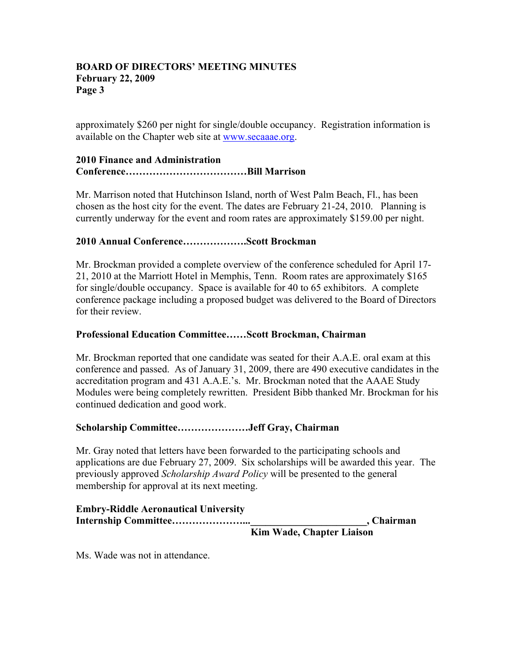### **BOARD OF DIRECTORS' MEETING MINUTES February 22, 2009 Page 3**

approximately \$260 per night for single/double occupancy. Registration information is available on the Chapter web site at www.secaaae.org.

### **2010 Finance and Administration Conference………………………………Bill Marrison**

Mr. Marrison noted that Hutchinson Island, north of West Palm Beach, Fl., has been chosen as the host city for the event. The dates are February 21-24, 2010. Planning is currently underway for the event and room rates are approximately \$159.00 per night.

## **2010 Annual Conference……………….Scott Brockman**

Mr. Brockman provided a complete overview of the conference scheduled for April 17- 21, 2010 at the Marriott Hotel in Memphis, Tenn. Room rates are approximately \$165 for single/double occupancy. Space is available for 40 to 65 exhibitors. A complete conference package including a proposed budget was delivered to the Board of Directors for their review.

## **Professional Education Committee……Scott Brockman, Chairman**

Mr. Brockman reported that one candidate was seated for their A.A.E. oral exam at this conference and passed. As of January 31, 2009, there are 490 executive candidates in the accreditation program and 431 A.A.E.'s. Mr. Brockman noted that the AAAE Study Modules were being completely rewritten. President Bibb thanked Mr. Brockman for his continued dedication and good work.

## **Scholarship Committee…………………Jeff Gray, Chairman**

Mr. Gray noted that letters have been forwarded to the participating schools and applications are due February 27, 2009. Six scholarships will be awarded this year. The previously approved *Scholarship Award Policy* will be presented to the general membership for approval at its next meeting.

| <b>Embry-Riddle Aeronautical University</b> |  |  |              |            |
|---------------------------------------------|--|--|--------------|------------|
|                                             |  |  |              | , Chairman |
|                                             |  |  | $\mathbf{X}$ |            |

 **Kim Wade, Chapter Liaison** 

Ms. Wade was not in attendance.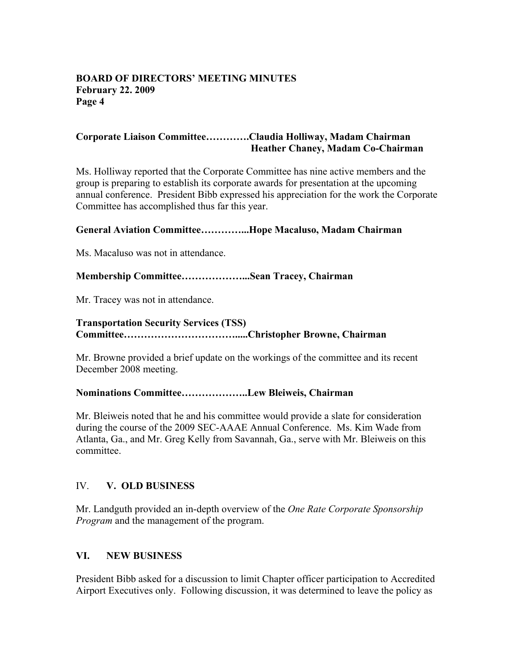### **BOARD OF DIRECTORS' MEETING MINUTES February 22. 2009 Page 4**

### **Corporate Liaison Committee………….Claudia Holliway, Madam Chairman Heather Chaney, Madam Co-Chairman**

Ms. Holliway reported that the Corporate Committee has nine active members and the group is preparing to establish its corporate awards for presentation at the upcoming annual conference. President Bibb expressed his appreciation for the work the Corporate Committee has accomplished thus far this year.

#### **General Aviation Committee…………...Hope Macaluso, Madam Chairman**

Ms. Macaluso was not in attendance.

### **Membership Committee………………...Sean Tracey, Chairman**

Mr. Tracey was not in attendance.

## **Transportation Security Services (TSS) Committee…………………………….....Christopher Browne, Chairman**

Mr. Browne provided a brief update on the workings of the committee and its recent December 2008 meeting.

#### **Nominations Committee………………..Lew Bleiweis, Chairman**

Mr. Bleiweis noted that he and his committee would provide a slate for consideration during the course of the 2009 SEC-AAAE Annual Conference. Ms. Kim Wade from Atlanta, Ga., and Mr. Greg Kelly from Savannah, Ga., serve with Mr. Bleiweis on this committee.

#### IV. **V. OLD BUSINESS**

Mr. Landguth provided an in-depth overview of the *One Rate Corporate Sponsorship Program* and the management of the program.

#### **VI. NEW BUSINESS**

President Bibb asked for a discussion to limit Chapter officer participation to Accredited Airport Executives only. Following discussion, it was determined to leave the policy as